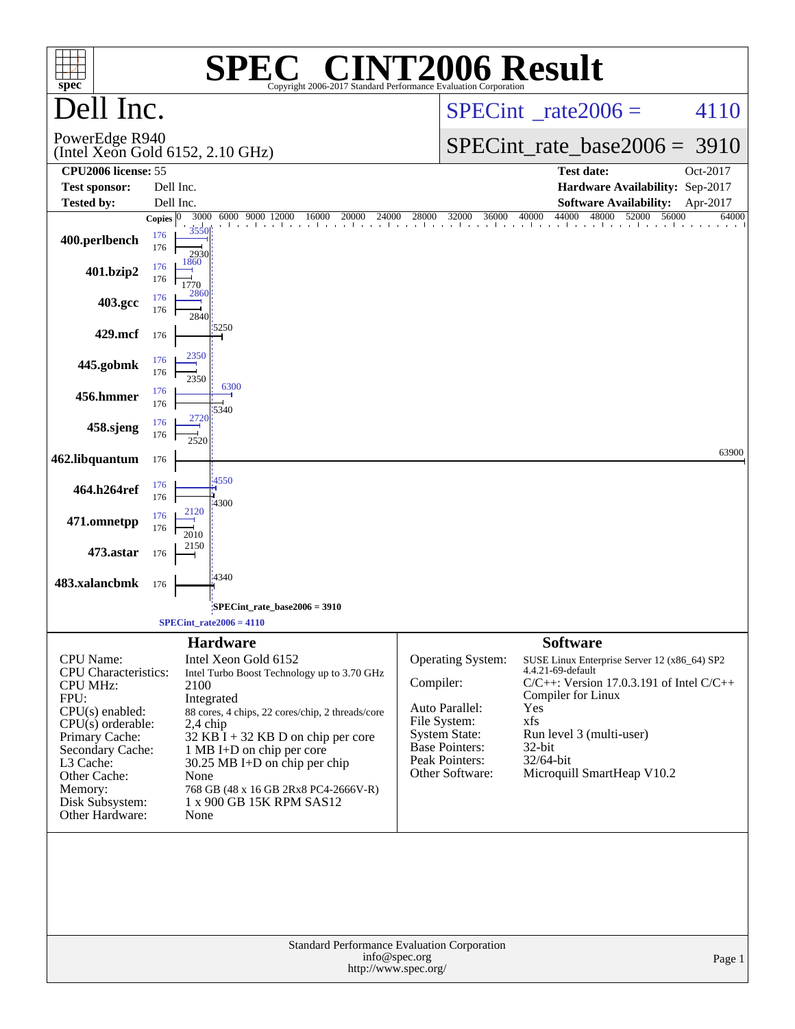| <b>C® CINT2006 Result</b><br>SPE(<br>$spec^*$<br>Copyright 2006-2017 Standard Performance Evaluation Corporation                                                                                                                  |                                                                   |                                                                                                                                                                                                                                                                                                                                                    |                           |                                                                                                                    |                                                                                                                                                                                                                                                            |          |
|-----------------------------------------------------------------------------------------------------------------------------------------------------------------------------------------------------------------------------------|-------------------------------------------------------------------|----------------------------------------------------------------------------------------------------------------------------------------------------------------------------------------------------------------------------------------------------------------------------------------------------------------------------------------------------|---------------------------|--------------------------------------------------------------------------------------------------------------------|------------------------------------------------------------------------------------------------------------------------------------------------------------------------------------------------------------------------------------------------------------|----------|
| ell Inc.                                                                                                                                                                                                                          |                                                                   |                                                                                                                                                                                                                                                                                                                                                    |                           | $SPECint^{\circ}$ rate $2006 =$                                                                                    | 4110                                                                                                                                                                                                                                                       |          |
| PowerEdge R940<br>(Intel Xeon Gold 6152, 2.10 GHz)                                                                                                                                                                                |                                                                   |                                                                                                                                                                                                                                                                                                                                                    |                           |                                                                                                                    | $SPECint_rate\_base2006 =$                                                                                                                                                                                                                                 | 3910     |
| <b>CPU2006</b> license: 55<br><b>Test sponsor:</b>                                                                                                                                                                                | Dell Inc.                                                         |                                                                                                                                                                                                                                                                                                                                                    |                           |                                                                                                                    | <b>Test date:</b><br>Hardware Availability: Sep-2017                                                                                                                                                                                                       | Oct-2017 |
| <b>Tested by:</b>                                                                                                                                                                                                                 | Dell Inc.                                                         |                                                                                                                                                                                                                                                                                                                                                    |                           |                                                                                                                    | <b>Software Availability:</b>                                                                                                                                                                                                                              | Apr-2017 |
| 400.perlbench                                                                                                                                                                                                                     | 3000<br>Copies $ 0 $<br>3550<br>176<br>176<br>2930<br>1860<br>176 | 6000 9000 12000<br>16000<br>20000<br>24000<br>A A TA A TA ANTARA TA ANTARA TA ANTARA TA ANTARA TA ANTARA TA ANTARA TA ANTA                                                                                                                                                                                                                         | 28000                     | 32000<br>36000                                                                                                     | 44000<br>48000<br>56000<br>40000<br>52000                                                                                                                                                                                                                  | 64000    |
| 401.bzip2                                                                                                                                                                                                                         | 176<br>1770<br>2860<br>176                                        |                                                                                                                                                                                                                                                                                                                                                    |                           |                                                                                                                    |                                                                                                                                                                                                                                                            |          |
| 403.gcc                                                                                                                                                                                                                           | 176<br>2840                                                       | 5250                                                                                                                                                                                                                                                                                                                                               |                           |                                                                                                                    |                                                                                                                                                                                                                                                            |          |
| 429.mcf                                                                                                                                                                                                                           | 176<br>2350<br>176                                                |                                                                                                                                                                                                                                                                                                                                                    |                           |                                                                                                                    |                                                                                                                                                                                                                                                            |          |
| 445.gobmk                                                                                                                                                                                                                         | 176<br>2350<br>176                                                | 6300                                                                                                                                                                                                                                                                                                                                               |                           |                                                                                                                    |                                                                                                                                                                                                                                                            |          |
| 456.hmmer                                                                                                                                                                                                                         | 176<br>2720<br>176                                                | 5340                                                                                                                                                                                                                                                                                                                                               |                           |                                                                                                                    |                                                                                                                                                                                                                                                            |          |
| 458.sjeng                                                                                                                                                                                                                         | 176<br>2520                                                       |                                                                                                                                                                                                                                                                                                                                                    |                           |                                                                                                                    |                                                                                                                                                                                                                                                            | 63900    |
| 462.libquantum                                                                                                                                                                                                                    | 176<br>176                                                        | 4550                                                                                                                                                                                                                                                                                                                                               |                           |                                                                                                                    |                                                                                                                                                                                                                                                            |          |
| 464.h264ref                                                                                                                                                                                                                       | 176<br>2120<br>176                                                | 4300                                                                                                                                                                                                                                                                                                                                               |                           |                                                                                                                    |                                                                                                                                                                                                                                                            |          |
| 471.omnetpp                                                                                                                                                                                                                       | 176<br>2010<br>2150                                               |                                                                                                                                                                                                                                                                                                                                                    |                           |                                                                                                                    |                                                                                                                                                                                                                                                            |          |
| 473.astar                                                                                                                                                                                                                         | 176                                                               | 4340                                                                                                                                                                                                                                                                                                                                               |                           |                                                                                                                    |                                                                                                                                                                                                                                                            |          |
| 483.xalancbmk                                                                                                                                                                                                                     | 176                                                               | SPECint rate base $2006 = 3910$                                                                                                                                                                                                                                                                                                                    |                           |                                                                                                                    |                                                                                                                                                                                                                                                            |          |
|                                                                                                                                                                                                                                   |                                                                   | $SPECint_rate2006 = 4110$                                                                                                                                                                                                                                                                                                                          |                           |                                                                                                                    |                                                                                                                                                                                                                                                            |          |
| CPU Name:<br><b>CPU</b> Characteristics:<br><b>CPU MHz:</b><br>FPU:<br>CPU(s) enabled:<br>$CPU(s)$ orderable:<br>Primary Cache:<br>Secondary Cache:<br>L3 Cache:<br>Other Cache:<br>Memory:<br>Disk Subsystem:<br>Other Hardware: | 2100<br>None<br>None                                              | <b>Hardware</b><br>Intel Xeon Gold 6152<br>Intel Turbo Boost Technology up to 3.70 GHz<br>Integrated<br>88 cores, 4 chips, 22 cores/chip, 2 threads/core<br>$2,4$ chip<br>$32$ KB I + 32 KB D on chip per core<br>1 MB I+D on chip per core<br>$30.25$ MB I+D on chip per chip<br>768 GB (48 x 16 GB 2Rx8 PC4-2666V-R)<br>1 x 900 GB 15K RPM SAS12 | Compiler:<br>File System: | Operating System:<br>Auto Parallel:<br>System State:<br><b>Base Pointers:</b><br>Peak Pointers:<br>Other Software: | <b>Software</b><br>SUSE Linux Enterprise Server 12 (x86_64) SP2<br>4.4.21-69-default<br>$C/C++$ : Version 17.0.3.191 of Intel $C/C++$<br>Compiler for Linux<br>Yes<br>xfs<br>Run level 3 (multi-user)<br>32-bit<br>32/64-bit<br>Microquill SmartHeap V10.2 |          |
| Standard Performance Evaluation Corporation<br>info@spec.org<br>Page 1<br>http://www.spec.org/                                                                                                                                    |                                                                   |                                                                                                                                                                                                                                                                                                                                                    |                           |                                                                                                                    |                                                                                                                                                                                                                                                            |          |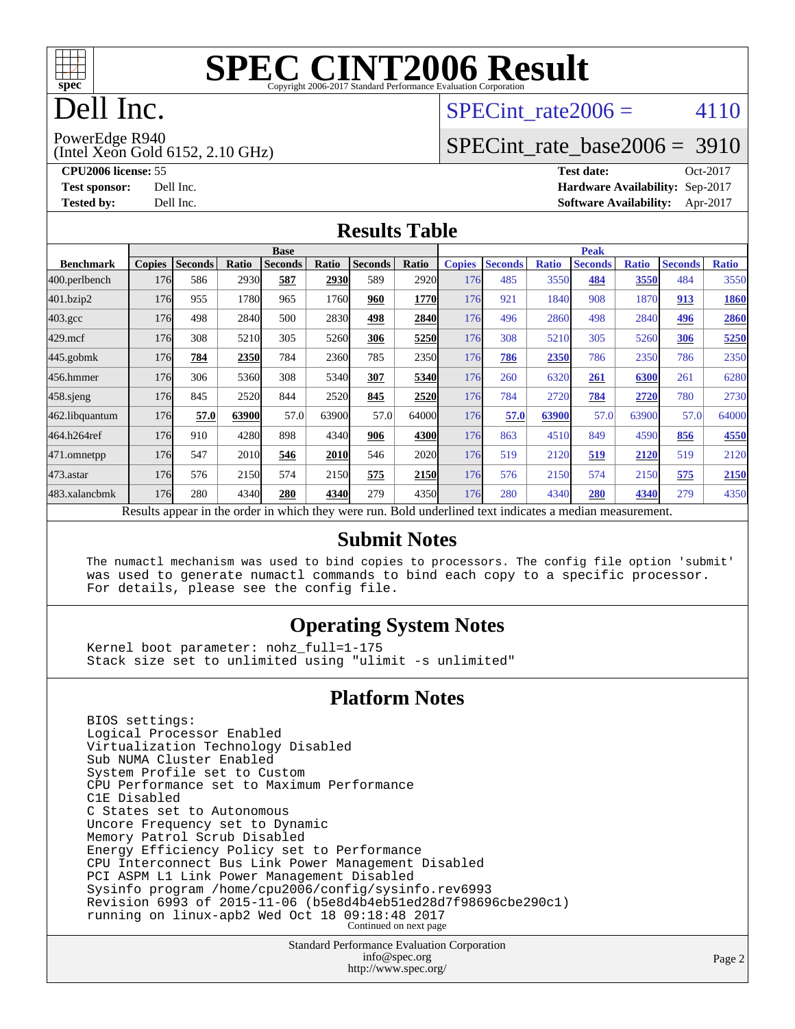

# Dell Inc.

### SPECint rate  $2006 = 4110$

PowerEdge R940

(Intel Xeon Gold 6152, 2.10 GHz)

[SPECint\\_rate\\_base2006 =](http://www.spec.org/auto/cpu2006/Docs/result-fields.html#SPECintratebase2006) 3910

**[CPU2006 license:](http://www.spec.org/auto/cpu2006/Docs/result-fields.html#CPU2006license)** 55 **[Test date:](http://www.spec.org/auto/cpu2006/Docs/result-fields.html#Testdate)** Oct-2017 **[Test sponsor:](http://www.spec.org/auto/cpu2006/Docs/result-fields.html#Testsponsor)** Dell Inc. **[Hardware Availability:](http://www.spec.org/auto/cpu2006/Docs/result-fields.html#HardwareAvailability)** Sep-2017 **[Tested by:](http://www.spec.org/auto/cpu2006/Docs/result-fields.html#Testedby)** Dell Inc. **[Software Availability:](http://www.spec.org/auto/cpu2006/Docs/result-fields.html#SoftwareAvailability)** Apr-2017

#### **[Results Table](http://www.spec.org/auto/cpu2006/Docs/result-fields.html#ResultsTable)**

|                  | <b>Base</b>                                                                                              |                |       |                |       |                |       | <b>Peak</b>   |                |              |                |              |                |              |
|------------------|----------------------------------------------------------------------------------------------------------|----------------|-------|----------------|-------|----------------|-------|---------------|----------------|--------------|----------------|--------------|----------------|--------------|
| <b>Benchmark</b> | <b>Copies</b>                                                                                            | <b>Seconds</b> | Ratio | <b>Seconds</b> | Ratio | <b>Seconds</b> | Ratio | <b>Copies</b> | <b>Seconds</b> | <b>Ratio</b> | <b>Seconds</b> | <b>Ratio</b> | <b>Seconds</b> | <b>Ratio</b> |
| 400.perlbench    | 176                                                                                                      | 586            | 2930  | 587            | 2930  | 589            | 2920  | 176           | 485            | 3550         | 484            | 3550         | 484            | 3550         |
| 401.bzip2        | 176                                                                                                      | 955            | 1780  | 965            | 1760  | 960            | 1770  | 176           | 921            | 1840         | 908            | 1870         | 913            | 1860         |
| $403.\text{gcc}$ | 176                                                                                                      | 498            | 2840  | 500            | 2830  | 498            | 2840  | 176           | 496            | 2860         | 498            | 2840         | 496            | 2860         |
| $429$ .mcf       | 176                                                                                                      | 308            | 5210  | 305            | 5260  | 306            | 5250  | 176           | 308            | 5210         | 305            | 5260         | 306            | 5250         |
| $445$ .gobmk     | 176                                                                                                      | 784            | 2350  | 784            | 2360  | 785            | 2350  | 176           | 786            | 2350         | 786            | 2350         | 786            | 2350         |
| 456.hmmer        | 176                                                                                                      | 306            | 5360  | 308            | 5340  | 307            | 5340  | 176           | 260            | 6320         | 261            | 6300         | 261            | 6280         |
| $458$ .sjeng     | 176                                                                                                      | 845            | 2520  | 844            | 2520  | 845            | 2520  | 176           | 784            | 2720         | 784            | 2720         | 780            | 2730         |
| 462.libquantum   | 176                                                                                                      | 57.0           | 63900 | 57.0           | 63900 | 57.0           | 64000 | 176           | 57.0           | 63900        | 57.0           | 63900        | 57.0           | 64000        |
| 464.h264ref      | 176                                                                                                      | 910            | 4280  | 898            | 4340  | 906            | 4300  | 176           | 863            | 4510         | 849            | 4590         | 856            | 4550         |
| 471.omnetpp      | 176                                                                                                      | 547            | 2010  | 546            | 2010  | 546            | 2020  | 176           | 519            | 2120         | 519            | 2120         | 519            | 2120         |
| 473.astar        | 176                                                                                                      | 576            | 2150  | 574            | 2150  | 575            | 2150  | 176           | 576            | 2150         | 574            | 2150         | 575            | 2150         |
| 483.xalancbmk    | 176                                                                                                      | 280            | 4340  | 280            | 4340  | 279            | 4350  | 176           | 280            | 4340         | 280            | 4340         | 279            | 4350         |
|                  | Results appear in the order in which they were run. Bold underlined text indicates a median measurement. |                |       |                |       |                |       |               |                |              |                |              |                |              |

#### **[Submit Notes](http://www.spec.org/auto/cpu2006/Docs/result-fields.html#SubmitNotes)**

 The numactl mechanism was used to bind copies to processors. The config file option 'submit' was used to generate numactl commands to bind each copy to a specific processor. For details, please see the config file.

### **[Operating System Notes](http://www.spec.org/auto/cpu2006/Docs/result-fields.html#OperatingSystemNotes)**

 Kernel boot parameter: nohz\_full=1-175 Stack size set to unlimited using "ulimit -s unlimited"

### **[Platform Notes](http://www.spec.org/auto/cpu2006/Docs/result-fields.html#PlatformNotes)**

 BIOS settings: Logical Processor Enabled Virtualization Technology Disabled Sub NUMA Cluster Enabled System Profile set to Custom CPU Performance set to Maximum Performance C1E Disabled C States set to Autonomous Uncore Frequency set to Dynamic Memory Patrol Scrub Disabled Energy Efficiency Policy set to Performance CPU Interconnect Bus Link Power Management Disabled PCI ASPM L1 Link Power Management Disabled Sysinfo program /home/cpu2006/config/sysinfo.rev6993 Revision 6993 of 2015-11-06 (b5e8d4b4eb51ed28d7f98696cbe290c1) running on linux-apb2 Wed Oct 18 09:18:48 2017 Continued on next page

> Standard Performance Evaluation Corporation [info@spec.org](mailto:info@spec.org) <http://www.spec.org/>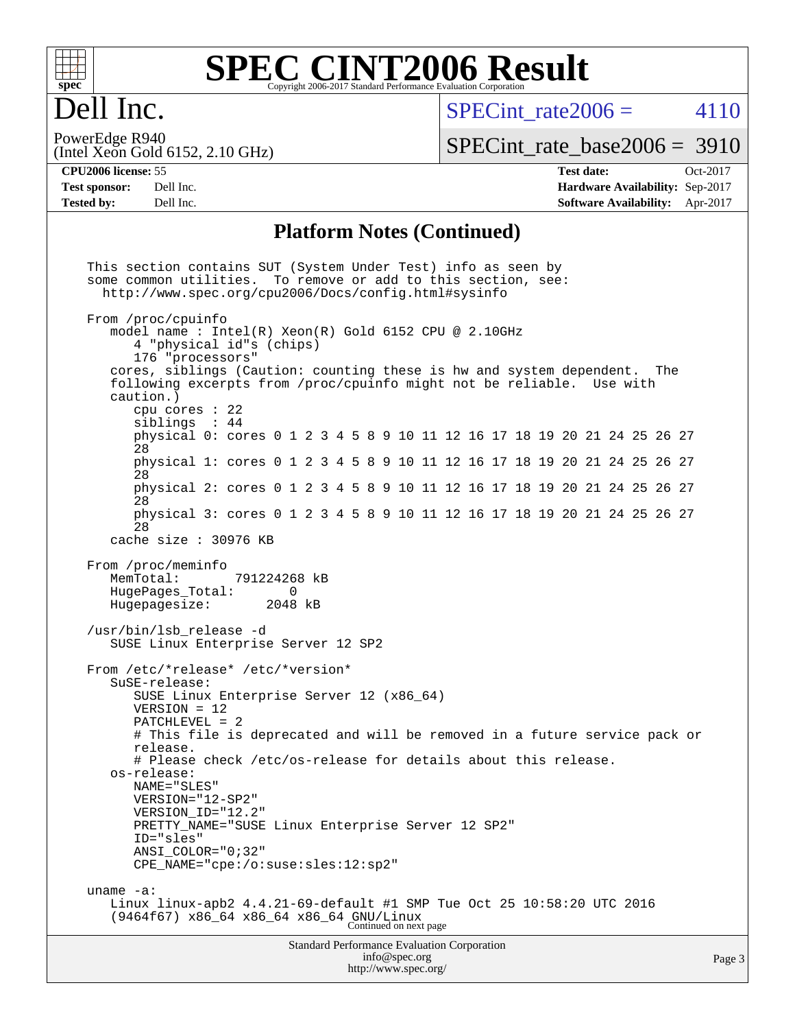

### **[SPEC CINT2006 Result](http://www.spec.org/auto/cpu2006/Docs/result-fields.html#SPECCINT2006Result)** Copyright 2006-2017 Standard Performance Evaluation Corporation

# Dell Inc.

SPECint rate  $2006 = 4110$ 

(Intel Xeon Gold 6152, 2.10 GHz) PowerEdge R940

[SPECint\\_rate\\_base2006 =](http://www.spec.org/auto/cpu2006/Docs/result-fields.html#SPECintratebase2006) 3910

**[CPU2006 license:](http://www.spec.org/auto/cpu2006/Docs/result-fields.html#CPU2006license)** 55 **[Test date:](http://www.spec.org/auto/cpu2006/Docs/result-fields.html#Testdate)** Oct-2017 **[Test sponsor:](http://www.spec.org/auto/cpu2006/Docs/result-fields.html#Testsponsor)** Dell Inc. **[Hardware Availability:](http://www.spec.org/auto/cpu2006/Docs/result-fields.html#HardwareAvailability)** Sep-2017 **[Tested by:](http://www.spec.org/auto/cpu2006/Docs/result-fields.html#Testedby)** Dell Inc. **[Software Availability:](http://www.spec.org/auto/cpu2006/Docs/result-fields.html#SoftwareAvailability)** Apr-2017

### **[Platform Notes \(Continued\)](http://www.spec.org/auto/cpu2006/Docs/result-fields.html#PlatformNotes)**

Standard Performance Evaluation Corporation [info@spec.org](mailto:info@spec.org) This section contains SUT (System Under Test) info as seen by some common utilities. To remove or add to this section, see: <http://www.spec.org/cpu2006/Docs/config.html#sysinfo> From /proc/cpuinfo model name : Intel(R) Xeon(R) Gold 6152 CPU @ 2.10GHz 4 "physical id"s (chips) 176 "processors" cores, siblings (Caution: counting these is hw and system dependent. The following excerpts from /proc/cpuinfo might not be reliable. Use with caution.) cpu cores : 22 siblings : 44 physical 0: cores 0 1 2 3 4 5 8 9 10 11 12 16 17 18 19 20 21 24 25 26 27 28 physical 1: cores 0 1 2 3 4 5 8 9 10 11 12 16 17 18 19 20 21 24 25 26 27 28 physical 2: cores 0 1 2 3 4 5 8 9 10 11 12 16 17 18 19 20 21 24 25 26 27 28 physical 3: cores 0 1 2 3 4 5 8 9 10 11 12 16 17 18 19 20 21 24 25 26 27 28 cache size : 30976 KB From /proc/meminfo<br>MemTotal: 791224268 kB HugePages\_Total: 0<br>Hugepagesize: 2048 kB Hugepagesize: /usr/bin/lsb\_release -d SUSE Linux Enterprise Server 12 SP2 From /etc/\*release\* /etc/\*version\* SuSE-release: SUSE Linux Enterprise Server 12 (x86\_64) VERSION = 12 PATCHLEVEL = 2 # This file is deprecated and will be removed in a future service pack or release. # Please check /etc/os-release for details about this release. os-release: NAME="SLES" VERSION="12-SP2" VERSION\_ID="12.2" PRETTY\_NAME="SUSE Linux Enterprise Server 12 SP2" ID="sles" ANSI\_COLOR="0;32" CPE\_NAME="cpe:/o:suse:sles:12:sp2" uname -a: Linux linux-apb2 4.4.21-69-default #1 SMP Tue Oct 25 10:58:20 UTC 2016 (9464f67) x86\_64 x86\_64 x86\_64 GNU/Linux Continued on next page

<http://www.spec.org/>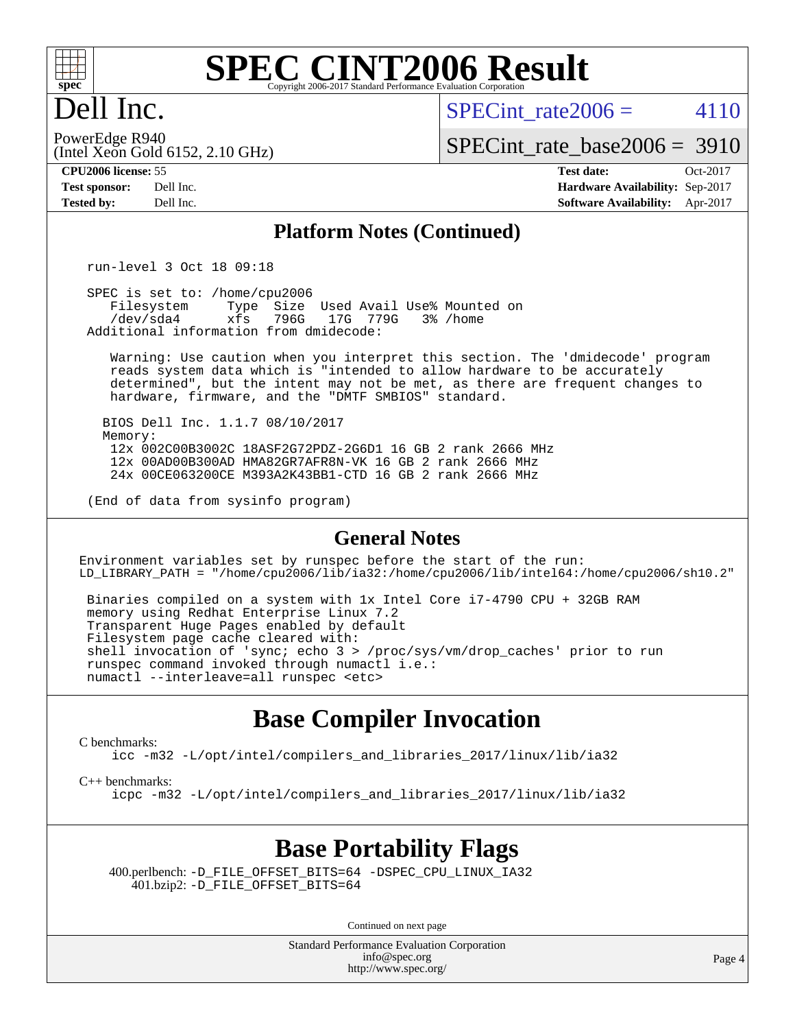

# Dell Inc.

SPECint rate  $2006 = 4110$ 

(Intel Xeon Gold 6152, 2.10 GHz) PowerEdge R940

[SPECint\\_rate\\_base2006 =](http://www.spec.org/auto/cpu2006/Docs/result-fields.html#SPECintratebase2006) 3910

**[CPU2006 license:](http://www.spec.org/auto/cpu2006/Docs/result-fields.html#CPU2006license)** 55 **[Test date:](http://www.spec.org/auto/cpu2006/Docs/result-fields.html#Testdate)** Oct-2017 **[Test sponsor:](http://www.spec.org/auto/cpu2006/Docs/result-fields.html#Testsponsor)** Dell Inc. **[Hardware Availability:](http://www.spec.org/auto/cpu2006/Docs/result-fields.html#HardwareAvailability)** Sep-2017 **[Tested by:](http://www.spec.org/auto/cpu2006/Docs/result-fields.html#Testedby)** Dell Inc. **[Software Availability:](http://www.spec.org/auto/cpu2006/Docs/result-fields.html#SoftwareAvailability)** Apr-2017

### **[Platform Notes \(Continued\)](http://www.spec.org/auto/cpu2006/Docs/result-fields.html#PlatformNotes)**

run-level 3 Oct 18 09:18

SPEC is set to: /home/cpu2006<br>Filesystem Type Size Filesystem Type Size Used Avail Use% Mounted on<br>/dev/sda4 xfs 796G 17G 779G 3% /home 17G 779G Additional information from dmidecode:

 Warning: Use caution when you interpret this section. The 'dmidecode' program reads system data which is "intended to allow hardware to be accurately determined", but the intent may not be met, as there are frequent changes to hardware, firmware, and the "DMTF SMBIOS" standard.

 BIOS Dell Inc. 1.1.7 08/10/2017 Memory: 12x 002C00B3002C 18ASF2G72PDZ-2G6D1 16 GB 2 rank 2666 MHz 12x 00AD00B300AD HMA82GR7AFR8N-VK 16 GB 2 rank 2666 MHz 24x 00CE063200CE M393A2K43BB1-CTD 16 GB 2 rank 2666 MHz

(End of data from sysinfo program)

### **[General Notes](http://www.spec.org/auto/cpu2006/Docs/result-fields.html#GeneralNotes)**

Environment variables set by runspec before the start of the run: LD\_LIBRARY\_PATH = "/home/cpu2006/lib/ia32:/home/cpu2006/lib/intel64:/home/cpu2006/sh10.2"

 Binaries compiled on a system with 1x Intel Core i7-4790 CPU + 32GB RAM memory using Redhat Enterprise Linux 7.2 Transparent Huge Pages enabled by default Filesystem page cache cleared with: shell invocation of 'sync; echo 3 > /proc/sys/vm/drop\_caches' prior to run runspec command invoked through numactl i.e.: numactl --interleave=all runspec <etc>

# **[Base Compiler Invocation](http://www.spec.org/auto/cpu2006/Docs/result-fields.html#BaseCompilerInvocation)**

[C benchmarks](http://www.spec.org/auto/cpu2006/Docs/result-fields.html#Cbenchmarks):

[icc -m32 -L/opt/intel/compilers\\_and\\_libraries\\_2017/linux/lib/ia32](http://www.spec.org/cpu2006/results/res2017q4/cpu2006-20171114-50558.flags.html#user_CCbase_intel_icc_c29f3ff5a7ed067b11e4ec10a03f03ae)

[C++ benchmarks:](http://www.spec.org/auto/cpu2006/Docs/result-fields.html#CXXbenchmarks)

[icpc -m32 -L/opt/intel/compilers\\_and\\_libraries\\_2017/linux/lib/ia32](http://www.spec.org/cpu2006/results/res2017q4/cpu2006-20171114-50558.flags.html#user_CXXbase_intel_icpc_8c35c7808b62dab9ae41a1aa06361b6b)

# **[Base Portability Flags](http://www.spec.org/auto/cpu2006/Docs/result-fields.html#BasePortabilityFlags)**

 400.perlbench: [-D\\_FILE\\_OFFSET\\_BITS=64](http://www.spec.org/cpu2006/results/res2017q4/cpu2006-20171114-50558.flags.html#user_basePORTABILITY400_perlbench_file_offset_bits_64_438cf9856305ebd76870a2c6dc2689ab) [-DSPEC\\_CPU\\_LINUX\\_IA32](http://www.spec.org/cpu2006/results/res2017q4/cpu2006-20171114-50558.flags.html#b400.perlbench_baseCPORTABILITY_DSPEC_CPU_LINUX_IA32) 401.bzip2: [-D\\_FILE\\_OFFSET\\_BITS=64](http://www.spec.org/cpu2006/results/res2017q4/cpu2006-20171114-50558.flags.html#user_basePORTABILITY401_bzip2_file_offset_bits_64_438cf9856305ebd76870a2c6dc2689ab)

Continued on next page

Standard Performance Evaluation Corporation [info@spec.org](mailto:info@spec.org) <http://www.spec.org/>

Page 4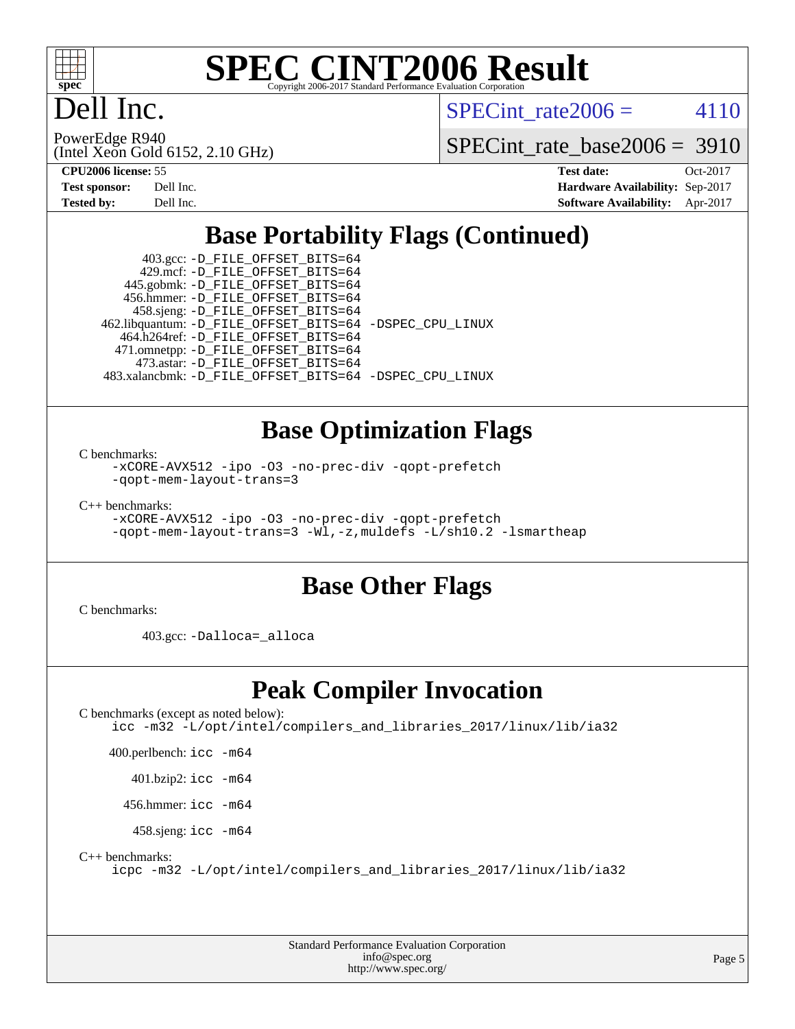

# Dell Inc.

SPECint rate  $2006 = 4110$ 

(Intel Xeon Gold 6152, 2.10 GHz) PowerEdge R940

[SPECint\\_rate\\_base2006 =](http://www.spec.org/auto/cpu2006/Docs/result-fields.html#SPECintratebase2006) 3910

| <b>Test sponsor:</b> | Dell Inc. |
|----------------------|-----------|
| <b>Tested by:</b>    | Dell Inc. |

**[CPU2006 license:](http://www.spec.org/auto/cpu2006/Docs/result-fields.html#CPU2006license)** 55 **[Test date:](http://www.spec.org/auto/cpu2006/Docs/result-fields.html#Testdate)** Oct-2017 **[Hardware Availability:](http://www.spec.org/auto/cpu2006/Docs/result-fields.html#HardwareAvailability)** Sep-2017 **[Software Availability:](http://www.spec.org/auto/cpu2006/Docs/result-fields.html#SoftwareAvailability)** Apr-2017

# **[Base Portability Flags \(Continued\)](http://www.spec.org/auto/cpu2006/Docs/result-fields.html#BasePortabilityFlags)**

 403.gcc: [-D\\_FILE\\_OFFSET\\_BITS=64](http://www.spec.org/cpu2006/results/res2017q4/cpu2006-20171114-50558.flags.html#user_basePORTABILITY403_gcc_file_offset_bits_64_438cf9856305ebd76870a2c6dc2689ab) 429.mcf: [-D\\_FILE\\_OFFSET\\_BITS=64](http://www.spec.org/cpu2006/results/res2017q4/cpu2006-20171114-50558.flags.html#user_basePORTABILITY429_mcf_file_offset_bits_64_438cf9856305ebd76870a2c6dc2689ab) 445.gobmk: [-D\\_FILE\\_OFFSET\\_BITS=64](http://www.spec.org/cpu2006/results/res2017q4/cpu2006-20171114-50558.flags.html#user_basePORTABILITY445_gobmk_file_offset_bits_64_438cf9856305ebd76870a2c6dc2689ab) 456.hmmer: [-D\\_FILE\\_OFFSET\\_BITS=64](http://www.spec.org/cpu2006/results/res2017q4/cpu2006-20171114-50558.flags.html#user_basePORTABILITY456_hmmer_file_offset_bits_64_438cf9856305ebd76870a2c6dc2689ab) 458.sjeng: [-D\\_FILE\\_OFFSET\\_BITS=64](http://www.spec.org/cpu2006/results/res2017q4/cpu2006-20171114-50558.flags.html#user_basePORTABILITY458_sjeng_file_offset_bits_64_438cf9856305ebd76870a2c6dc2689ab) 462.libquantum: [-D\\_FILE\\_OFFSET\\_BITS=64](http://www.spec.org/cpu2006/results/res2017q4/cpu2006-20171114-50558.flags.html#user_basePORTABILITY462_libquantum_file_offset_bits_64_438cf9856305ebd76870a2c6dc2689ab) [-DSPEC\\_CPU\\_LINUX](http://www.spec.org/cpu2006/results/res2017q4/cpu2006-20171114-50558.flags.html#b462.libquantum_baseCPORTABILITY_DSPEC_CPU_LINUX) 464.h264ref: [-D\\_FILE\\_OFFSET\\_BITS=64](http://www.spec.org/cpu2006/results/res2017q4/cpu2006-20171114-50558.flags.html#user_basePORTABILITY464_h264ref_file_offset_bits_64_438cf9856305ebd76870a2c6dc2689ab) 471.omnetpp: [-D\\_FILE\\_OFFSET\\_BITS=64](http://www.spec.org/cpu2006/results/res2017q4/cpu2006-20171114-50558.flags.html#user_basePORTABILITY471_omnetpp_file_offset_bits_64_438cf9856305ebd76870a2c6dc2689ab) 473.astar: [-D\\_FILE\\_OFFSET\\_BITS=64](http://www.spec.org/cpu2006/results/res2017q4/cpu2006-20171114-50558.flags.html#user_basePORTABILITY473_astar_file_offset_bits_64_438cf9856305ebd76870a2c6dc2689ab) 483.xalancbmk: [-D\\_FILE\\_OFFSET\\_BITS=64](http://www.spec.org/cpu2006/results/res2017q4/cpu2006-20171114-50558.flags.html#user_basePORTABILITY483_xalancbmk_file_offset_bits_64_438cf9856305ebd76870a2c6dc2689ab) [-DSPEC\\_CPU\\_LINUX](http://www.spec.org/cpu2006/results/res2017q4/cpu2006-20171114-50558.flags.html#b483.xalancbmk_baseCXXPORTABILITY_DSPEC_CPU_LINUX)

## **[Base Optimization Flags](http://www.spec.org/auto/cpu2006/Docs/result-fields.html#BaseOptimizationFlags)**

[C benchmarks](http://www.spec.org/auto/cpu2006/Docs/result-fields.html#Cbenchmarks):

[-xCORE-AVX512](http://www.spec.org/cpu2006/results/res2017q4/cpu2006-20171114-50558.flags.html#user_CCbase_f-xCORE-AVX512) [-ipo](http://www.spec.org/cpu2006/results/res2017q4/cpu2006-20171114-50558.flags.html#user_CCbase_f-ipo) [-O3](http://www.spec.org/cpu2006/results/res2017q4/cpu2006-20171114-50558.flags.html#user_CCbase_f-O3) [-no-prec-div](http://www.spec.org/cpu2006/results/res2017q4/cpu2006-20171114-50558.flags.html#user_CCbase_f-no-prec-div) [-qopt-prefetch](http://www.spec.org/cpu2006/results/res2017q4/cpu2006-20171114-50558.flags.html#user_CCbase_f-qopt-prefetch) [-qopt-mem-layout-trans=3](http://www.spec.org/cpu2006/results/res2017q4/cpu2006-20171114-50558.flags.html#user_CCbase_f-qopt-mem-layout-trans_170f5be61cd2cedc9b54468c59262d5d)

[C++ benchmarks:](http://www.spec.org/auto/cpu2006/Docs/result-fields.html#CXXbenchmarks)

[-xCORE-AVX512](http://www.spec.org/cpu2006/results/res2017q4/cpu2006-20171114-50558.flags.html#user_CXXbase_f-xCORE-AVX512) [-ipo](http://www.spec.org/cpu2006/results/res2017q4/cpu2006-20171114-50558.flags.html#user_CXXbase_f-ipo) [-O3](http://www.spec.org/cpu2006/results/res2017q4/cpu2006-20171114-50558.flags.html#user_CXXbase_f-O3) [-no-prec-div](http://www.spec.org/cpu2006/results/res2017q4/cpu2006-20171114-50558.flags.html#user_CXXbase_f-no-prec-div) [-qopt-prefetch](http://www.spec.org/cpu2006/results/res2017q4/cpu2006-20171114-50558.flags.html#user_CXXbase_f-qopt-prefetch) [-qopt-mem-layout-trans=3](http://www.spec.org/cpu2006/results/res2017q4/cpu2006-20171114-50558.flags.html#user_CXXbase_f-qopt-mem-layout-trans_170f5be61cd2cedc9b54468c59262d5d) [-Wl,-z,muldefs](http://www.spec.org/cpu2006/results/res2017q4/cpu2006-20171114-50558.flags.html#user_CXXbase_link_force_multiple1_74079c344b956b9658436fd1b6dd3a8a) [-L/sh10.2 -lsmartheap](http://www.spec.org/cpu2006/results/res2017q4/cpu2006-20171114-50558.flags.html#user_CXXbase_SmartHeap_b831f2d313e2fffa6dfe3f00ffc1f1c0)

# **[Base Other Flags](http://www.spec.org/auto/cpu2006/Docs/result-fields.html#BaseOtherFlags)**

[C benchmarks](http://www.spec.org/auto/cpu2006/Docs/result-fields.html#Cbenchmarks):

403.gcc: [-Dalloca=\\_alloca](http://www.spec.org/cpu2006/results/res2017q4/cpu2006-20171114-50558.flags.html#b403.gcc_baseEXTRA_CFLAGS_Dalloca_be3056838c12de2578596ca5467af7f3)

# **[Peak Compiler Invocation](http://www.spec.org/auto/cpu2006/Docs/result-fields.html#PeakCompilerInvocation)**

[C benchmarks \(except as noted below\)](http://www.spec.org/auto/cpu2006/Docs/result-fields.html#Cbenchmarksexceptasnotedbelow): [icc -m32 -L/opt/intel/compilers\\_and\\_libraries\\_2017/linux/lib/ia32](http://www.spec.org/cpu2006/results/res2017q4/cpu2006-20171114-50558.flags.html#user_CCpeak_intel_icc_c29f3ff5a7ed067b11e4ec10a03f03ae)

400.perlbench: [icc -m64](http://www.spec.org/cpu2006/results/res2017q4/cpu2006-20171114-50558.flags.html#user_peakCCLD400_perlbench_intel_icc_64bit_bda6cc9af1fdbb0edc3795bac97ada53)

401.bzip2: [icc -m64](http://www.spec.org/cpu2006/results/res2017q4/cpu2006-20171114-50558.flags.html#user_peakCCLD401_bzip2_intel_icc_64bit_bda6cc9af1fdbb0edc3795bac97ada53)

456.hmmer: [icc -m64](http://www.spec.org/cpu2006/results/res2017q4/cpu2006-20171114-50558.flags.html#user_peakCCLD456_hmmer_intel_icc_64bit_bda6cc9af1fdbb0edc3795bac97ada53)

458.sjeng: [icc -m64](http://www.spec.org/cpu2006/results/res2017q4/cpu2006-20171114-50558.flags.html#user_peakCCLD458_sjeng_intel_icc_64bit_bda6cc9af1fdbb0edc3795bac97ada53)

[C++ benchmarks:](http://www.spec.org/auto/cpu2006/Docs/result-fields.html#CXXbenchmarks)

[icpc -m32 -L/opt/intel/compilers\\_and\\_libraries\\_2017/linux/lib/ia32](http://www.spec.org/cpu2006/results/res2017q4/cpu2006-20171114-50558.flags.html#user_CXXpeak_intel_icpc_8c35c7808b62dab9ae41a1aa06361b6b)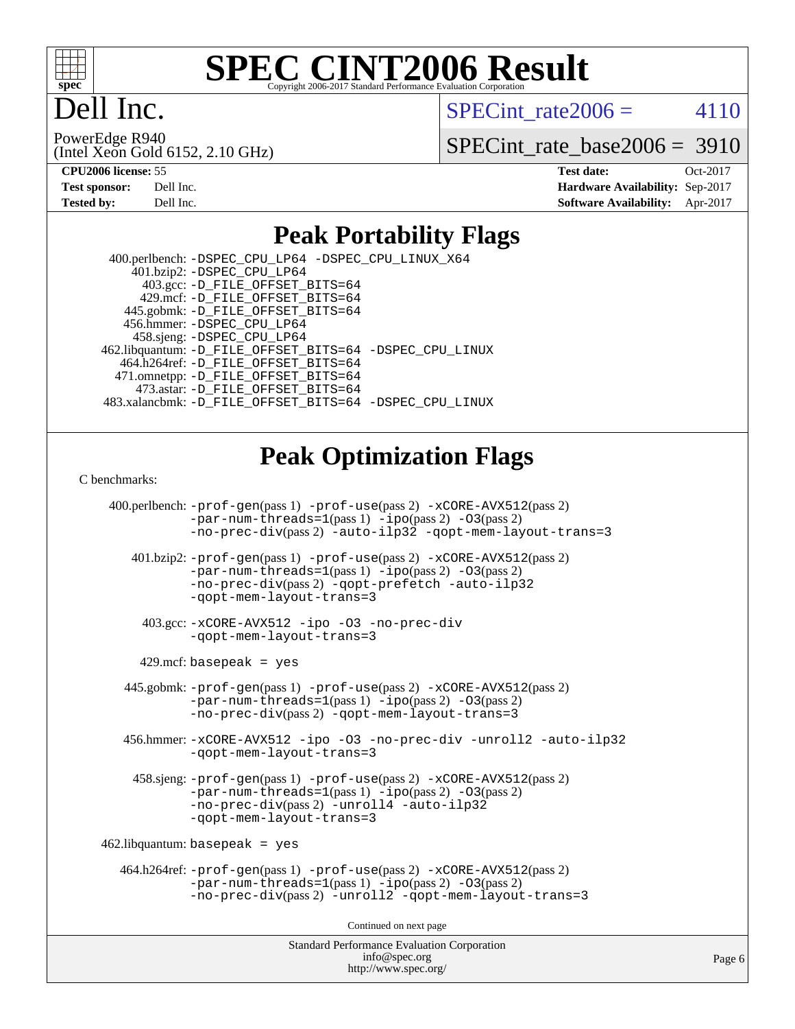

# ell Inc.

SPECint rate  $2006 = 4110$ 

(Intel Xeon Gold 6152, 2.10 GHz) PowerEdge R940

[SPECint\\_rate\\_base2006 =](http://www.spec.org/auto/cpu2006/Docs/result-fields.html#SPECintratebase2006) 3910

| <b>Test sponsor:</b> | Dell Inc. |
|----------------------|-----------|
| <b>Tested by:</b>    | Dell Inc. |

**[CPU2006 license:](http://www.spec.org/auto/cpu2006/Docs/result-fields.html#CPU2006license)** 55 **[Test date:](http://www.spec.org/auto/cpu2006/Docs/result-fields.html#Testdate)** Oct-2017 **[Hardware Availability:](http://www.spec.org/auto/cpu2006/Docs/result-fields.html#HardwareAvailability)** Sep-2017 **[Software Availability:](http://www.spec.org/auto/cpu2006/Docs/result-fields.html#SoftwareAvailability)** Apr-2017

### **[Peak Portability Flags](http://www.spec.org/auto/cpu2006/Docs/result-fields.html#PeakPortabilityFlags)**

 400.perlbench: [-DSPEC\\_CPU\\_LP64](http://www.spec.org/cpu2006/results/res2017q4/cpu2006-20171114-50558.flags.html#b400.perlbench_peakCPORTABILITY_DSPEC_CPU_LP64) [-DSPEC\\_CPU\\_LINUX\\_X64](http://www.spec.org/cpu2006/results/res2017q4/cpu2006-20171114-50558.flags.html#b400.perlbench_peakCPORTABILITY_DSPEC_CPU_LINUX_X64)  $401.bzip2: -DSPEC_CPULP64$  403.gcc: [-D\\_FILE\\_OFFSET\\_BITS=64](http://www.spec.org/cpu2006/results/res2017q4/cpu2006-20171114-50558.flags.html#user_peakPORTABILITY403_gcc_file_offset_bits_64_438cf9856305ebd76870a2c6dc2689ab) 429.mcf: [-D\\_FILE\\_OFFSET\\_BITS=64](http://www.spec.org/cpu2006/results/res2017q4/cpu2006-20171114-50558.flags.html#user_peakPORTABILITY429_mcf_file_offset_bits_64_438cf9856305ebd76870a2c6dc2689ab) 445.gobmk: [-D\\_FILE\\_OFFSET\\_BITS=64](http://www.spec.org/cpu2006/results/res2017q4/cpu2006-20171114-50558.flags.html#user_peakPORTABILITY445_gobmk_file_offset_bits_64_438cf9856305ebd76870a2c6dc2689ab) 456.hmmer: [-DSPEC\\_CPU\\_LP64](http://www.spec.org/cpu2006/results/res2017q4/cpu2006-20171114-50558.flags.html#suite_peakCPORTABILITY456_hmmer_DSPEC_CPU_LP64) 458.sjeng: [-DSPEC\\_CPU\\_LP64](http://www.spec.org/cpu2006/results/res2017q4/cpu2006-20171114-50558.flags.html#suite_peakCPORTABILITY458_sjeng_DSPEC_CPU_LP64) 462.libquantum: [-D\\_FILE\\_OFFSET\\_BITS=64](http://www.spec.org/cpu2006/results/res2017q4/cpu2006-20171114-50558.flags.html#user_peakPORTABILITY462_libquantum_file_offset_bits_64_438cf9856305ebd76870a2c6dc2689ab) [-DSPEC\\_CPU\\_LINUX](http://www.spec.org/cpu2006/results/res2017q4/cpu2006-20171114-50558.flags.html#b462.libquantum_peakCPORTABILITY_DSPEC_CPU_LINUX) 464.h264ref: [-D\\_FILE\\_OFFSET\\_BITS=64](http://www.spec.org/cpu2006/results/res2017q4/cpu2006-20171114-50558.flags.html#user_peakPORTABILITY464_h264ref_file_offset_bits_64_438cf9856305ebd76870a2c6dc2689ab) 471.omnetpp: [-D\\_FILE\\_OFFSET\\_BITS=64](http://www.spec.org/cpu2006/results/res2017q4/cpu2006-20171114-50558.flags.html#user_peakPORTABILITY471_omnetpp_file_offset_bits_64_438cf9856305ebd76870a2c6dc2689ab) 473.astar: [-D\\_FILE\\_OFFSET\\_BITS=64](http://www.spec.org/cpu2006/results/res2017q4/cpu2006-20171114-50558.flags.html#user_peakPORTABILITY473_astar_file_offset_bits_64_438cf9856305ebd76870a2c6dc2689ab) 483.xalancbmk: [-D\\_FILE\\_OFFSET\\_BITS=64](http://www.spec.org/cpu2006/results/res2017q4/cpu2006-20171114-50558.flags.html#user_peakPORTABILITY483_xalancbmk_file_offset_bits_64_438cf9856305ebd76870a2c6dc2689ab) [-DSPEC\\_CPU\\_LINUX](http://www.spec.org/cpu2006/results/res2017q4/cpu2006-20171114-50558.flags.html#b483.xalancbmk_peakCXXPORTABILITY_DSPEC_CPU_LINUX)

## **[Peak Optimization Flags](http://www.spec.org/auto/cpu2006/Docs/result-fields.html#PeakOptimizationFlags)**

[C benchmarks](http://www.spec.org/auto/cpu2006/Docs/result-fields.html#Cbenchmarks):

Standard Performance Evaluation Corporation 400.perlbench: [-prof-gen](http://www.spec.org/cpu2006/results/res2017q4/cpu2006-20171114-50558.flags.html#user_peakPASS1_CFLAGSPASS1_LDCFLAGS400_perlbench_prof_gen_e43856698f6ca7b7e442dfd80e94a8fc)(pass 1) [-prof-use](http://www.spec.org/cpu2006/results/res2017q4/cpu2006-20171114-50558.flags.html#user_peakPASS2_CFLAGSPASS2_LDCFLAGS400_perlbench_prof_use_bccf7792157ff70d64e32fe3e1250b55)(pass 2) [-xCORE-AVX512](http://www.spec.org/cpu2006/results/res2017q4/cpu2006-20171114-50558.flags.html#user_peakPASS2_CFLAGSPASS2_LDCFLAGS400_perlbench_f-xCORE-AVX512)(pass 2) [-par-num-threads=1](http://www.spec.org/cpu2006/results/res2017q4/cpu2006-20171114-50558.flags.html#user_peakPASS1_CFLAGSPASS1_LDCFLAGS400_perlbench_par_num_threads_786a6ff141b4e9e90432e998842df6c2)(pass 1) [-ipo](http://www.spec.org/cpu2006/results/res2017q4/cpu2006-20171114-50558.flags.html#user_peakPASS2_CFLAGSPASS2_LDCFLAGS400_perlbench_f-ipo)(pass 2) [-O3](http://www.spec.org/cpu2006/results/res2017q4/cpu2006-20171114-50558.flags.html#user_peakPASS2_CFLAGSPASS2_LDCFLAGS400_perlbench_f-O3)(pass 2) [-no-prec-div](http://www.spec.org/cpu2006/results/res2017q4/cpu2006-20171114-50558.flags.html#user_peakPASS2_CFLAGSPASS2_LDCFLAGS400_perlbench_f-no-prec-div)(pass 2) [-auto-ilp32](http://www.spec.org/cpu2006/results/res2017q4/cpu2006-20171114-50558.flags.html#user_peakCOPTIMIZE400_perlbench_f-auto-ilp32) [-qopt-mem-layout-trans=3](http://www.spec.org/cpu2006/results/res2017q4/cpu2006-20171114-50558.flags.html#user_peakCOPTIMIZE400_perlbench_f-qopt-mem-layout-trans_170f5be61cd2cedc9b54468c59262d5d) 401.bzip2: [-prof-gen](http://www.spec.org/cpu2006/results/res2017q4/cpu2006-20171114-50558.flags.html#user_peakPASS1_CFLAGSPASS1_LDCFLAGS401_bzip2_prof_gen_e43856698f6ca7b7e442dfd80e94a8fc)(pass 1) [-prof-use](http://www.spec.org/cpu2006/results/res2017q4/cpu2006-20171114-50558.flags.html#user_peakPASS2_CFLAGSPASS2_LDCFLAGS401_bzip2_prof_use_bccf7792157ff70d64e32fe3e1250b55)(pass 2) [-xCORE-AVX512](http://www.spec.org/cpu2006/results/res2017q4/cpu2006-20171114-50558.flags.html#user_peakPASS2_CFLAGSPASS2_LDCFLAGS401_bzip2_f-xCORE-AVX512)(pass 2) [-par-num-threads=1](http://www.spec.org/cpu2006/results/res2017q4/cpu2006-20171114-50558.flags.html#user_peakPASS1_CFLAGSPASS1_LDCFLAGS401_bzip2_par_num_threads_786a6ff141b4e9e90432e998842df6c2)(pass 1) [-ipo](http://www.spec.org/cpu2006/results/res2017q4/cpu2006-20171114-50558.flags.html#user_peakPASS2_CFLAGSPASS2_LDCFLAGS401_bzip2_f-ipo)(pass 2) [-O3](http://www.spec.org/cpu2006/results/res2017q4/cpu2006-20171114-50558.flags.html#user_peakPASS2_CFLAGSPASS2_LDCFLAGS401_bzip2_f-O3)(pass 2) [-no-prec-div](http://www.spec.org/cpu2006/results/res2017q4/cpu2006-20171114-50558.flags.html#user_peakPASS2_CFLAGSPASS2_LDCFLAGS401_bzip2_f-no-prec-div)(pass 2) [-qopt-prefetch](http://www.spec.org/cpu2006/results/res2017q4/cpu2006-20171114-50558.flags.html#user_peakCOPTIMIZE401_bzip2_f-qopt-prefetch) [-auto-ilp32](http://www.spec.org/cpu2006/results/res2017q4/cpu2006-20171114-50558.flags.html#user_peakCOPTIMIZE401_bzip2_f-auto-ilp32) [-qopt-mem-layout-trans=3](http://www.spec.org/cpu2006/results/res2017q4/cpu2006-20171114-50558.flags.html#user_peakCOPTIMIZE401_bzip2_f-qopt-mem-layout-trans_170f5be61cd2cedc9b54468c59262d5d) 403.gcc: [-xCORE-AVX512](http://www.spec.org/cpu2006/results/res2017q4/cpu2006-20171114-50558.flags.html#user_peakOPTIMIZE403_gcc_f-xCORE-AVX512) [-ipo](http://www.spec.org/cpu2006/results/res2017q4/cpu2006-20171114-50558.flags.html#user_peakOPTIMIZE403_gcc_f-ipo) [-O3](http://www.spec.org/cpu2006/results/res2017q4/cpu2006-20171114-50558.flags.html#user_peakOPTIMIZE403_gcc_f-O3) [-no-prec-div](http://www.spec.org/cpu2006/results/res2017q4/cpu2006-20171114-50558.flags.html#user_peakOPTIMIZE403_gcc_f-no-prec-div) [-qopt-mem-layout-trans=3](http://www.spec.org/cpu2006/results/res2017q4/cpu2006-20171114-50558.flags.html#user_peakCOPTIMIZE403_gcc_f-qopt-mem-layout-trans_170f5be61cd2cedc9b54468c59262d5d)  $429$ .mcf: basepeak = yes 445.gobmk: [-prof-gen](http://www.spec.org/cpu2006/results/res2017q4/cpu2006-20171114-50558.flags.html#user_peakPASS1_CFLAGSPASS1_LDCFLAGS445_gobmk_prof_gen_e43856698f6ca7b7e442dfd80e94a8fc)(pass 1) [-prof-use](http://www.spec.org/cpu2006/results/res2017q4/cpu2006-20171114-50558.flags.html#user_peakPASS2_CFLAGSPASS2_LDCFLAGSPASS2_LDFLAGS445_gobmk_prof_use_bccf7792157ff70d64e32fe3e1250b55)(pass 2) [-xCORE-AVX512](http://www.spec.org/cpu2006/results/res2017q4/cpu2006-20171114-50558.flags.html#user_peakPASS2_CFLAGSPASS2_LDCFLAGSPASS2_LDFLAGS445_gobmk_f-xCORE-AVX512)(pass 2) [-par-num-threads=1](http://www.spec.org/cpu2006/results/res2017q4/cpu2006-20171114-50558.flags.html#user_peakPASS1_CFLAGSPASS1_LDCFLAGS445_gobmk_par_num_threads_786a6ff141b4e9e90432e998842df6c2)(pass 1) [-ipo](http://www.spec.org/cpu2006/results/res2017q4/cpu2006-20171114-50558.flags.html#user_peakPASS2_LDCFLAGS445_gobmk_f-ipo)(pass 2) [-O3](http://www.spec.org/cpu2006/results/res2017q4/cpu2006-20171114-50558.flags.html#user_peakPASS2_LDCFLAGS445_gobmk_f-O3)(pass 2) [-no-prec-div](http://www.spec.org/cpu2006/results/res2017q4/cpu2006-20171114-50558.flags.html#user_peakPASS2_LDCFLAGS445_gobmk_f-no-prec-div)(pass 2) [-qopt-mem-layout-trans=3](http://www.spec.org/cpu2006/results/res2017q4/cpu2006-20171114-50558.flags.html#user_peakCOPTIMIZE445_gobmk_f-qopt-mem-layout-trans_170f5be61cd2cedc9b54468c59262d5d) 456.hmmer: [-xCORE-AVX512](http://www.spec.org/cpu2006/results/res2017q4/cpu2006-20171114-50558.flags.html#user_peakOPTIMIZE456_hmmer_f-xCORE-AVX512) [-ipo](http://www.spec.org/cpu2006/results/res2017q4/cpu2006-20171114-50558.flags.html#user_peakOPTIMIZE456_hmmer_f-ipo) [-O3](http://www.spec.org/cpu2006/results/res2017q4/cpu2006-20171114-50558.flags.html#user_peakOPTIMIZE456_hmmer_f-O3) [-no-prec-div](http://www.spec.org/cpu2006/results/res2017q4/cpu2006-20171114-50558.flags.html#user_peakOPTIMIZE456_hmmer_f-no-prec-div) [-unroll2](http://www.spec.org/cpu2006/results/res2017q4/cpu2006-20171114-50558.flags.html#user_peakCOPTIMIZE456_hmmer_f-unroll_784dae83bebfb236979b41d2422d7ec2) [-auto-ilp32](http://www.spec.org/cpu2006/results/res2017q4/cpu2006-20171114-50558.flags.html#user_peakCOPTIMIZE456_hmmer_f-auto-ilp32) [-qopt-mem-layout-trans=3](http://www.spec.org/cpu2006/results/res2017q4/cpu2006-20171114-50558.flags.html#user_peakCOPTIMIZE456_hmmer_f-qopt-mem-layout-trans_170f5be61cd2cedc9b54468c59262d5d) 458.sjeng: [-prof-gen](http://www.spec.org/cpu2006/results/res2017q4/cpu2006-20171114-50558.flags.html#user_peakPASS1_CFLAGSPASS1_LDCFLAGS458_sjeng_prof_gen_e43856698f6ca7b7e442dfd80e94a8fc)(pass 1) [-prof-use](http://www.spec.org/cpu2006/results/res2017q4/cpu2006-20171114-50558.flags.html#user_peakPASS2_CFLAGSPASS2_LDCFLAGS458_sjeng_prof_use_bccf7792157ff70d64e32fe3e1250b55)(pass 2) [-xCORE-AVX512](http://www.spec.org/cpu2006/results/res2017q4/cpu2006-20171114-50558.flags.html#user_peakPASS2_CFLAGSPASS2_LDCFLAGS458_sjeng_f-xCORE-AVX512)(pass 2) [-par-num-threads=1](http://www.spec.org/cpu2006/results/res2017q4/cpu2006-20171114-50558.flags.html#user_peakPASS1_CFLAGSPASS1_LDCFLAGS458_sjeng_par_num_threads_786a6ff141b4e9e90432e998842df6c2)(pass 1) [-ipo](http://www.spec.org/cpu2006/results/res2017q4/cpu2006-20171114-50558.flags.html#user_peakPASS2_CFLAGSPASS2_LDCFLAGS458_sjeng_f-ipo)(pass 2) [-O3](http://www.spec.org/cpu2006/results/res2017q4/cpu2006-20171114-50558.flags.html#user_peakPASS2_CFLAGSPASS2_LDCFLAGS458_sjeng_f-O3)(pass 2) [-no-prec-div](http://www.spec.org/cpu2006/results/res2017q4/cpu2006-20171114-50558.flags.html#user_peakPASS2_CFLAGSPASS2_LDCFLAGS458_sjeng_f-no-prec-div)(pass 2) [-unroll4](http://www.spec.org/cpu2006/results/res2017q4/cpu2006-20171114-50558.flags.html#user_peakCOPTIMIZE458_sjeng_f-unroll_4e5e4ed65b7fd20bdcd365bec371b81f) [-auto-ilp32](http://www.spec.org/cpu2006/results/res2017q4/cpu2006-20171114-50558.flags.html#user_peakCOPTIMIZE458_sjeng_f-auto-ilp32) [-qopt-mem-layout-trans=3](http://www.spec.org/cpu2006/results/res2017q4/cpu2006-20171114-50558.flags.html#user_peakCOPTIMIZE458_sjeng_f-qopt-mem-layout-trans_170f5be61cd2cedc9b54468c59262d5d)  $462$ .libquantum: basepeak = yes 464.h264ref: [-prof-gen](http://www.spec.org/cpu2006/results/res2017q4/cpu2006-20171114-50558.flags.html#user_peakPASS1_CFLAGSPASS1_LDCFLAGS464_h264ref_prof_gen_e43856698f6ca7b7e442dfd80e94a8fc)(pass 1) [-prof-use](http://www.spec.org/cpu2006/results/res2017q4/cpu2006-20171114-50558.flags.html#user_peakPASS2_CFLAGSPASS2_LDCFLAGS464_h264ref_prof_use_bccf7792157ff70d64e32fe3e1250b55)(pass 2) [-xCORE-AVX512](http://www.spec.org/cpu2006/results/res2017q4/cpu2006-20171114-50558.flags.html#user_peakPASS2_CFLAGSPASS2_LDCFLAGS464_h264ref_f-xCORE-AVX512)(pass 2)  $-par-num-threads=1(pass 1) -ipo(pass 2) -O3(pass 2)$  $-par-num-threads=1(pass 1) -ipo(pass 2) -O3(pass 2)$  $-par-num-threads=1(pass 1) -ipo(pass 2) -O3(pass 2)$  $-par-num-threads=1(pass 1) -ipo(pass 2) -O3(pass 2)$  $-par-num-threads=1(pass 1) -ipo(pass 2) -O3(pass 2)$  $-par-num-threads=1(pass 1) -ipo(pass 2) -O3(pass 2)$ [-no-prec-div](http://www.spec.org/cpu2006/results/res2017q4/cpu2006-20171114-50558.flags.html#user_peakPASS2_CFLAGSPASS2_LDCFLAGS464_h264ref_f-no-prec-div)(pass 2) [-unroll2](http://www.spec.org/cpu2006/results/res2017q4/cpu2006-20171114-50558.flags.html#user_peakCOPTIMIZE464_h264ref_f-unroll_784dae83bebfb236979b41d2422d7ec2) [-qopt-mem-layout-trans=3](http://www.spec.org/cpu2006/results/res2017q4/cpu2006-20171114-50558.flags.html#user_peakCOPTIMIZE464_h264ref_f-qopt-mem-layout-trans_170f5be61cd2cedc9b54468c59262d5d) Continued on next page

[info@spec.org](mailto:info@spec.org) <http://www.spec.org/>